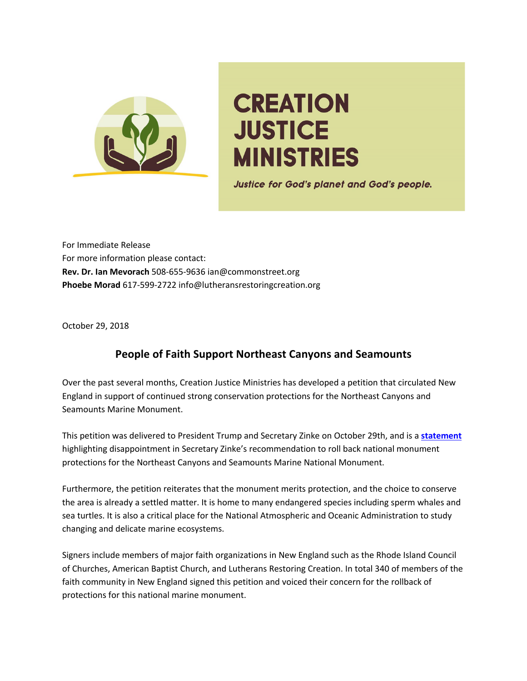

## **CREATION JUSTICE MINISTRIES**

**Justice for God's planet and God's people.** 

For Immediate Release For more information please contact: **Rev. Dr. Ian Mevorach** 508-655-9636 ian@commonstreet.org **Phoebe Morad** 617-599-2722 info@lutheransrestoringcreation.org

October 29, 2018

## **People of Faith Support Northeast Canyons and Seamounts**

Over the past several months, Creation Justice Ministries has developed a petition that circulated New England in support of continued strong conservation protections for the Northeast Canyons and Seamounts Marine Monument.

This petition was delivered to President Trump and Secretary Zinke on October 29th, and is a **statement** highlighting disappointment in Secretary Zinke's recommendation to roll back national monument protections for the Northeast Canyons and Seamounts Marine National Monument.

Furthermore, the petition reiterates that the monument merits protection, and the choice to conserve the area is already a settled matter. It is home to many endangered species including sperm whales and sea turtles. It is also a critical place for the National Atmospheric and Oceanic Administration to study changing and delicate marine ecosystems.

Signers include members of major faith organizations in New England such as the Rhode Island Council of Churches, American Baptist Church, and Lutherans Restoring Creation. In total 340 of members of the faith community in New England signed this petition and voiced their concern for the rollback of protections for this national marine monument.